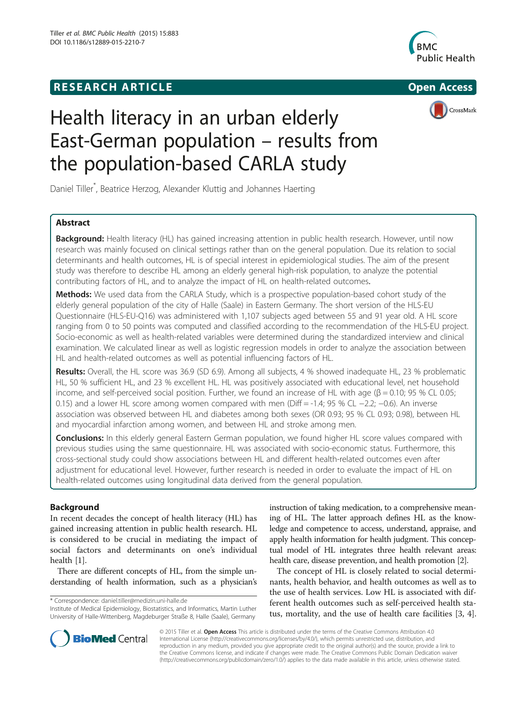## **RESEARCH ARTICLE Example 2014 CONSIDERING CONSIDERING CONSIDERING CONSIDERING CONSIDERING CONSIDERING CONSIDERING CONSIDERING CONSIDERING CONSIDERING CONSIDERING CONSIDERING CONSIDERING CONSIDERING CONSIDERING CONSIDE**





# Health literacy in an urban elderly East-German population – results from the population-based CARLA study

Daniel Tiller\* , Beatrice Herzog, Alexander Kluttig and Johannes Haerting

## Abstract

Background: Health literacy (HL) has gained increasing attention in public health research. However, until now research was mainly focused on clinical settings rather than on the general population. Due its relation to social determinants and health outcomes, HL is of special interest in epidemiological studies. The aim of the present study was therefore to describe HL among an elderly general high-risk population, to analyze the potential contributing factors of HL, and to analyze the impact of HL on health-related outcomes.

**Methods:** We used data from the CARLA Study, which is a prospective population-based cohort study of the elderly general population of the city of Halle (Saale) in Eastern Germany. The short version of the HLS-EU Questionnaire (HLS-EU-Q16) was administered with 1,107 subjects aged between 55 and 91 year old. A HL score ranging from 0 to 50 points was computed and classified according to the recommendation of the HLS-EU project. Socio-economic as well as health-related variables were determined during the standardized interview and clinical examination. We calculated linear as well as logistic regression models in order to analyze the association between HL and health-related outcomes as well as potential influencing factors of HL.

Results: Overall, the HL score was 36.9 (SD 6.9). Among all subjects, 4 % showed inadequate HL, 23 % problematic HL, 50 % sufficient HL, and 23 % excellent HL. HL was positively associated with educational level, net household income, and self-perceived social position. Further, we found an increase of HL with age ( $\beta$  = 0.10; 95 % CL 0.05; 0.15) and a lower HL score among women compared with men (Diff = -1.4; 95 % CL −2.2; −0.6). An inverse association was observed between HL and diabetes among both sexes (OR 0.93; 95 % CL 0.93; 0.98), between HL and myocardial infarction among women, and between HL and stroke among men.

Conclusions: In this elderly general Eastern German population, we found higher HL score values compared with previous studies using the same questionnaire. HL was associated with socio-economic status. Furthermore, this cross-sectional study could show associations between HL and different health-related outcomes even after adjustment for educational level. However, further research is needed in order to evaluate the impact of HL on health-related outcomes using longitudinal data derived from the general population.

## Background

In recent decades the concept of health literacy (HL) has gained increasing attention in public health research. HL is considered to be crucial in mediating the impact of social factors and determinants on one's individual health [[1\]](#page-7-0).

There are different concepts of HL, from the simple understanding of health information, such as a physician's

\* Correspondence: [daniel.tiller@medizin.uni-halle.de](mailto:daniel.tiller@medizin.uni-halle.de)

instruction of taking medication, to a comprehensive meaning of HL. The latter approach defines HL as the knowledge and competence to access, understand, appraise, and apply health information for health judgment. This conceptual model of HL integrates three health relevant areas: health care, disease prevention, and health promotion [\[2\]](#page-8-0).

The concept of HL is closely related to social determinants, health behavior, and health outcomes as well as to the use of health services. Low HL is associated with different health outcomes such as self-perceived health status, mortality, and the use of health care facilities [[3, 4](#page-8-0)].



© 2015 Tiller et al. Open Access This article is distributed under the terms of the Creative Commons Attribution 4.0 International License [\(http://creativecommons.org/licenses/by/4.0/](http://creativecommons.org/licenses/by/4.0/)), which permits unrestricted use, distribution, and reproduction in any medium, provided you give appropriate credit to the original author(s) and the source, provide a link to the Creative Commons license, and indicate if changes were made. The Creative Commons Public Domain Dedication waiver [\(http://creativecommons.org/publicdomain/zero/1.0/](http://creativecommons.org/publicdomain/zero/1.0/)) applies to the data made available in this article, unless otherwise stated.

Institute of Medical Epidemiology, Biostatistics, and Informatics, Martin Luther University of Halle-Wittenberg, Magdeburger Straße 8, Halle (Saale), Germany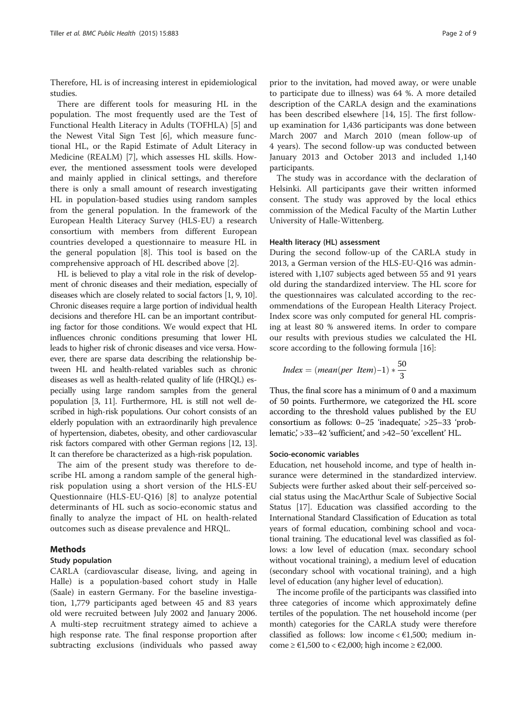Therefore, HL is of increasing interest in epidemiological studies.

There are different tools for measuring HL in the population. The most frequently used are the Test of Functional Health Literacy in Adults (TOFHLA) [\[5](#page-8-0)] and the Newest Vital Sign Test [\[6](#page-8-0)], which measure functional HL, or the Rapid Estimate of Adult Literacy in Medicine (REALM) [[7](#page-8-0)], which assesses HL skills. However, the mentioned assessment tools were developed and mainly applied in clinical settings, and therefore there is only a small amount of research investigating HL in population-based studies using random samples from the general population. In the framework of the European Health Literacy Survey (HLS-EU) a research consortium with members from different European countries developed a questionnaire to measure HL in the general population [\[8\]](#page-8-0). This tool is based on the comprehensive approach of HL described above [[2\]](#page-8-0).

HL is believed to play a vital role in the risk of development of chronic diseases and their mediation, especially of diseases which are closely related to social factors [\[1,](#page-7-0) [9](#page-8-0), [10](#page-8-0)]. Chronic diseases require a large portion of individual health decisions and therefore HL can be an important contributing factor for those conditions. We would expect that HL influences chronic conditions presuming that lower HL leads to higher risk of chronic diseases and vice versa. However, there are sparse data describing the relationship between HL and health-related variables such as chronic diseases as well as health-related quality of life (HRQL) especially using large random samples from the general population [\[3](#page-8-0), [11](#page-8-0)]. Furthermore, HL is still not well described in high-risk populations. Our cohort consists of an elderly population with an extraordinarily high prevalence of hypertension, diabetes, obesity, and other cardiovascular risk factors compared with other German regions [\[12, 13](#page-8-0)]. It can therefore be characterized as a high-risk population.

The aim of the present study was therefore to describe HL among a random sample of the general highrisk population using a short version of the HLS-EU Questionnaire (HLS-EU-Q16) [[8](#page-8-0)] to analyze potential determinants of HL such as socio-economic status and finally to analyze the impact of HL on health-related outcomes such as disease prevalence and HRQL.

#### Methods

#### Study population

CARLA (cardiovascular disease, living, and ageing in Halle) is a population-based cohort study in Halle (Saale) in eastern Germany. For the baseline investigation, 1,779 participants aged between 45 and 83 years old were recruited between July 2002 and January 2006. A multi-step recruitment strategy aimed to achieve a high response rate. The final response proportion after subtracting exclusions (individuals who passed away

prior to the invitation, had moved away, or were unable to participate due to illness) was 64 %. A more detailed description of the CARLA design and the examinations has been described elsewhere [[14, 15\]](#page-8-0). The first followup examination for 1,436 participants was done between March 2007 and March 2010 (mean follow-up of 4 years). The second follow-up was conducted between January 2013 and October 2013 and included 1,140 participants.

The study was in accordance with the declaration of Helsinki. All participants gave their written informed consent. The study was approved by the local ethics commission of the Medical Faculty of the Martin Luther University of Halle-Wittenberg.

#### Health literacy (HL) assessment

During the second follow-up of the CARLA study in 2013, a German version of the HLS-EU-Q16 was administered with 1,107 subjects aged between 55 and 91 years old during the standardized interview. The HL score for the questionnaires was calculated according to the recommendations of the European Health Literacy Project. Index score was only computed for general HL comprising at least 80 % answered items. In order to compare our results with previous studies we calculated the HL score according to the following formula [[16\]](#page-8-0):

$$
Index = (mean(per \ Item) - 1) * \frac{50}{3}
$$

Thus, the final score has a minimum of 0 and a maximum of 50 points. Furthermore, we categorized the HL score according to the threshold values published by the EU consortium as follows: 0-25 'inadequate', >25-33 'problematic,' >33–42 'sufficient,' and >42–50 'excellent' HL.

#### Socio-economic variables

Education, net household income, and type of health insurance were determined in the standardized interview. Subjects were further asked about their self-perceived social status using the MacArthur Scale of Subjective Social Status [\[17\]](#page-8-0). Education was classified according to the International Standard Classification of Education as total years of formal education, combining school and vocational training. The educational level was classified as follows: a low level of education (max. secondary school without vocational training), a medium level of education (secondary school with vocational training), and a high level of education (any higher level of education).

The income profile of the participants was classified into three categories of income which approximately define tertiles of the population. The net household income (per month) categories for the CARLA study were therefore classified as follows: low income  $\lt \text{\textsterling}1,500$ ; medium income  $\geq \text{\textsterling}1,500$  to  $\lt \text{\textsterling}2,000$ ; high income  $\geq \text{\textsterling}2,000$ .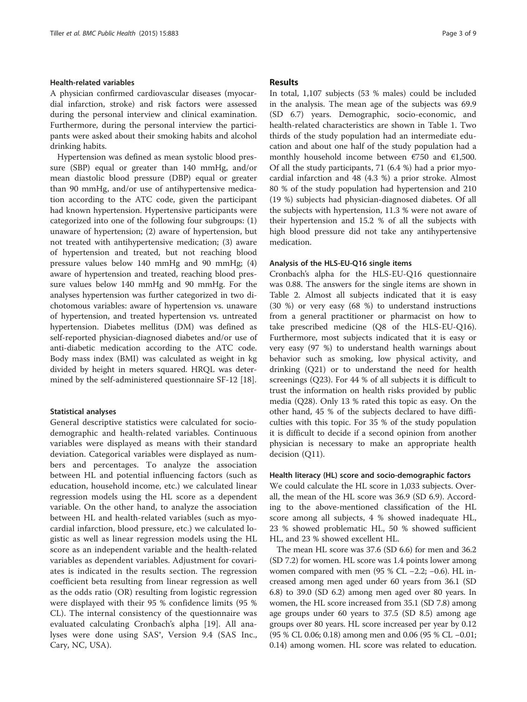#### Health-related variables

A physician confirmed cardiovascular diseases (myocardial infarction, stroke) and risk factors were assessed during the personal interview and clinical examination. Furthermore, during the personal interview the participants were asked about their smoking habits and alcohol drinking habits.

Hypertension was defined as mean systolic blood pressure (SBP) equal or greater than 140 mmHg, and/or mean diastolic blood pressure (DBP) equal or greater than 90 mmHg, and/or use of antihypertensive medication according to the ATC code, given the participant had known hypertension. Hypertensive participants were categorized into one of the following four subgroups: (1) unaware of hypertension; (2) aware of hypertension, but not treated with antihypertensive medication; (3) aware of hypertension and treated, but not reaching blood pressure values below 140 mmHg and 90 mmHg; (4) aware of hypertension and treated, reaching blood pressure values below 140 mmHg and 90 mmHg. For the analyses hypertension was further categorized in two dichotomous variables: aware of hypertension vs. unaware of hypertension, and treated hypertension vs. untreated hypertension. Diabetes mellitus (DM) was defined as self-reported physician-diagnosed diabetes and/or use of anti-diabetic medication according to the ATC code. Body mass index (BMI) was calculated as weight in kg divided by height in meters squared. HRQL was determined by the self-administered questionnaire SF-12 [[18\]](#page-8-0).

#### Statistical analyses

General descriptive statistics were calculated for sociodemographic and health-related variables. Continuous variables were displayed as means with their standard deviation. Categorical variables were displayed as numbers and percentages. To analyze the association between HL and potential influencing factors (such as education, household income, etc.) we calculated linear regression models using the HL score as a dependent variable. On the other hand, to analyze the association between HL and health-related variables (such as myocardial infarction, blood pressure, etc.) we calculated logistic as well as linear regression models using the HL score as an independent variable and the health-related variables as dependent variables. Adjustment for covariates is indicated in the results section. The regression coefficient beta resulting from linear regression as well as the odds ratio (OR) resulting from logistic regression were displayed with their 95 % confidence limits (95 % CL). The internal consistency of the questionnaire was evaluated calculating Cronbach's alpha [[19\]](#page-8-0). All analyses were done using SAS®, Version 9.4 (SAS Inc., Cary, NC, USA).

#### Results

In total, 1,107 subjects (53 % males) could be included in the analysis. The mean age of the subjects was 69.9 (SD 6.7) years. Demographic, socio-economic, and health-related characteristics are shown in Table [1](#page-3-0). Two thirds of the study population had an intermediate education and about one half of the study population had a monthly household income between  $\epsilon$ 750 and  $\epsilon$ 1,500. Of all the study participants, 71 (6.4 %) had a prior myocardial infarction and 48 (4.3 %) a prior stroke. Almost 80 % of the study population had hypertension and 210 (19 %) subjects had physician-diagnosed diabetes. Of all the subjects with hypertension, 11.3 % were not aware of their hypertension and 15.2 % of all the subjects with high blood pressure did not take any antihypertensive medication.

#### Analysis of the HLS-EU-Q16 single items

Cronbach's alpha for the HLS-EU-Q16 questionnaire was 0.88. The answers for the single items are shown in Table [2](#page-4-0). Almost all subjects indicated that it is easy (30 %) or very easy (68 %) to understand instructions from a general practitioner or pharmacist on how to take prescribed medicine (Q8 of the HLS-EU-Q16). Furthermore, most subjects indicated that it is easy or very easy (97 %) to understand health warnings about behavior such as smoking, low physical activity, and drinking (Q21) or to understand the need for health screenings (Q23). For 44 % of all subjects it is difficult to trust the information on health risks provided by public media (Q28). Only 13 % rated this topic as easy. On the other hand, 45 % of the subjects declared to have difficulties with this topic. For 35 % of the study population it is difficult to decide if a second opinion from another physician is necessary to make an appropriate health decision (Q11).

#### Health literacy (HL) score and socio-demographic factors

We could calculate the HL score in 1,033 subjects. Overall, the mean of the HL score was 36.9 (SD 6.9). According to the above-mentioned classification of the HL score among all subjects, 4 % showed inadequate HL, 23 % showed problematic HL, 50 % showed sufficient HL, and 23 % showed excellent HL.

The mean HL score was 37.6 (SD 6.6) for men and 36.2 (SD 7.2) for women. HL score was 1.4 points lower among women compared with men (95 % CL −2.2; −0.6). HL increased among men aged under 60 years from 36.1 (SD 6.8) to 39.0 (SD 6.2) among men aged over 80 years. In women, the HL score increased from 35.1 (SD 7.8) among age groups under 60 years to 37.5 (SD 8.5) among age groups over 80 years. HL score increased per year by 0.12 (95 % CL 0.06; 0.18) among men and 0.06 (95 % CL −0.01; 0.14) among women. HL score was related to education.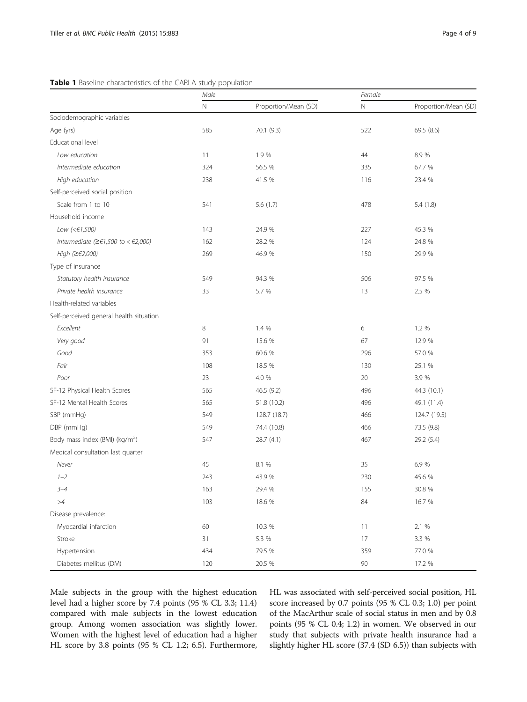## <span id="page-3-0"></span>Table 1 Baseline characteristics of the CARLA study population

|                                                    | Male       |                      | Female     |                      |  |
|----------------------------------------------------|------------|----------------------|------------|----------------------|--|
|                                                    | $\hbox{N}$ | Proportion/Mean (SD) | $\hbox{N}$ | Proportion/Mean (SD) |  |
| Sociodemographic variables                         |            |                      |            |                      |  |
| Age (yrs)                                          | 585        | 70.1 (9.3)           | 522        | 69.5 (8.6)           |  |
| Educational level                                  |            |                      |            |                      |  |
| Low education                                      | 11         | 1.9 %                | 44         | 8.9 %                |  |
| Intermediate education                             | 324        | 56.5 %               | 335        | 67.7 %               |  |
| High education                                     | 238        | 41.5 %               | 116        | 23.4 %               |  |
| Self-perceived social position                     |            |                      |            |                      |  |
| Scale from 1 to 10                                 | 541        | 5.6(1.7)             | 478        | 5.4(1.8)             |  |
| Household income                                   |            |                      |            |                      |  |
| Low $(<\in 1,500)$                                 | 143        | 24.9 %               | 227        | 45.3 %               |  |
| Intermediate ( $\geq \in 1,500$ to < $\in 2,000$ ) | 162        | 28.2 %               | 124        | 24.8 %               |  |
| High (≥€2,000)                                     | 269        | 46.9%                | 150        | 29.9 %               |  |
| Type of insurance                                  |            |                      |            |                      |  |
| Statutory health insurance                         | 549        | 94.3 %               | 506        | 97.5 %               |  |
| Private health insurance                           | 33         | 5.7 %                | 13         | 2.5 %                |  |
| Health-related variables                           |            |                      |            |                      |  |
| Self-perceived general health situation            |            |                      |            |                      |  |
| Excellent                                          | 8          | 1.4 %                | 6          | 1.2 %                |  |
| Very good                                          | 91         | 15.6 %               | 67         | 12.9 %               |  |
| Good                                               | 353        | 60.6 %               | 296        | 57.0 %               |  |
| Fair                                               | 108        | 18.5 %               | 130        | 25.1 %               |  |
| Poor                                               | 23         | 4.0 %                | $20\,$     | 3.9 %                |  |
| SF-12 Physical Health Scores                       | 565        | 46.5(9.2)            | 496        | 44.3 (10.1)          |  |
| SF-12 Mental Health Scores                         | 565        | 51.8 (10.2)          | 496        | 49.1 (11.4)          |  |
| SBP (mmHg)                                         | 549        | 128.7 (18.7)         | 466        | 124.7 (19.5)         |  |
| DBP (mmHg)                                         | 549        | 74.4 (10.8)          | 466        | 73.5 (9.8)           |  |
| Body mass index (BMI) (kg/m <sup>2</sup> )         | 547        | 28.7 (4.1)           | 467        | 29.2 (5.4)           |  |
| Medical consultation last quarter                  |            |                      |            |                      |  |
| Never                                              | 45         | 8.1 %                | 35         | 6.9%                 |  |
| $1 - 2$                                            | 243        | 43.9 %               | 230        | 45.6 %               |  |
| $3 - 4$                                            | 163        | 29.4 %               | 155        | 30.8 %               |  |
| >4                                                 | 103        | 18.6 %               | 84         | 16.7 %               |  |
| Disease prevalence:                                |            |                      |            |                      |  |
| Myocardial infarction                              | 60         | 10.3 %               | 11         | 2.1 %                |  |
| Stroke                                             | 31         | 5.3 %                | 17         | 3.3 %                |  |
| Hypertension                                       | 434        | 79.5 %               | 359        | 77.0 %               |  |
| Diabetes mellitus (DM)                             | 120        | 20.5 %               | 90         | 17.2 %               |  |

Male subjects in the group with the highest education level had a higher score by 7.4 points (95 % CL 3.3; 11.4) compared with male subjects in the lowest education group. Among women association was slightly lower. Women with the highest level of education had a higher HL score by 3.8 points (95 % CL 1.2; 6.5). Furthermore, HL was associated with self-perceived social position, HL score increased by 0.7 points (95 % CL 0.3; 1.0) per point of the MacArthur scale of social status in men and by 0.8 points (95 % CL 0.4; 1.2) in women. We observed in our study that subjects with private health insurance had a slightly higher HL score (37.4 (SD 6.5)) than subjects with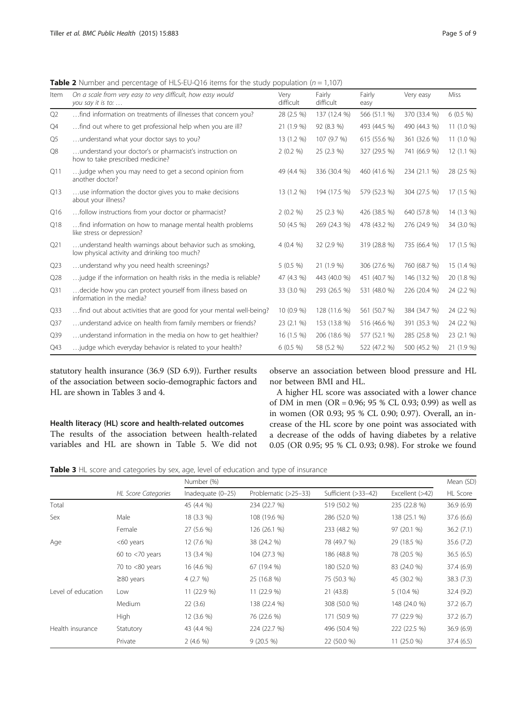<span id="page-4-0"></span>**Table 2** Number and percentage of HLS-EU-Q16 items for the study population ( $n = 1,107$ )

| Item            | On a scale from very easy to very difficult, how easy would<br>you say it is to:                           | Very<br>difficult | Fairly<br>difficult | Fairly<br>easy | Very easy    | Miss        |
|-----------------|------------------------------------------------------------------------------------------------------------|-------------------|---------------------|----------------|--------------|-------------|
| Q <sub>2</sub>  | find information on treatments of illnesses that concern you?                                              | 28 (2.5 %)        | 137 (12.4 %)        | 566 (51.1 %)   | 370 (33.4 %) | $6(0.5\%)$  |
| Q4              | find out where to get professional help when you are ill?                                                  | 21 (1.9 %)        | 92 (8.3 %)          | 493 (44.5 %)   | 490 (44.3 %) | $11(1.0\%)$ |
| Q <sub>5</sub>  | understand what your doctor says to you?                                                                   | 13 (1.2 %)        | 107 (9.7 %)         | 615 (55.6 %)   | 361 (32.6 %) | 11 (1.0 %)  |
| Q8              | understand your doctor's or pharmacist's instruction on<br>how to take prescribed medicine?                | 2(0.2%            | 25 (2.3 %)          | 327 (29.5 %)   | 741 (66.9 %) | $12(1.1\%)$ |
| Q11             | judge when you may need to get a second opinion from<br>another doctor?                                    | 49 (4.4 %)        | 336 (30.4 %)        | 460 (41.6 %)   | 234 (21.1 %) | 28 (2.5 %)  |
| Q13             | use information the doctor gives you to make decisions<br>about your illness?                              | 13 (1.2 %)        | 194 (17.5 %)        | 579 (52.3 %)   | 304 (27.5 %) | 17 (1.5 %)  |
| Q16             | follow instructions from your doctor or pharmacist?                                                        | 2(0.2%            | 25(2.3%)            | 426 (38.5 %)   | 640 (57.8 %) | 14 (1.3 %)  |
| Q18             | find information on how to manage mental health problems<br>like stress or depression?                     | 50 (4.5 %)        | 269 (24.3 %)        | 478 (43.2 %)   | 276 (24.9 %) | 34 (3.0 %)  |
| Q <sub>21</sub> | understand health warnings about behavior such as smoking,<br>low physical activity and drinking too much? | 4(0.4%            | 32 (2.9 %)          | 319 (28.8 %)   | 735 (66.4 %) | 17 (1.5 %)  |
| Q <sub>23</sub> | understand why you need health screenings?                                                                 | $5(0.5\%)$        | $21(1.9\%)$         | 306 (27.6 %)   | 760 (68.7 %) | 15 (1.4 %)  |
| Q28             | judge if the information on health risks in the media is reliable?                                         | 47 (4.3 %)        | 443 (40.0 %)        | 451 (40.7 %)   | 146 (13.2 %) | 20 (1.8 %)  |
| Q31             | decide how you can protect yourself from illness based on<br>information in the media?                     | 33 (3.0 %)        | 293 (26.5 %)        | 531 (48.0 %)   | 226 (20.4 %) | 24 (2.2 %)  |
| Q <sub>33</sub> | find out about activities that are good for your mental well-being?                                        | 10 (0.9 %)        | 128 (11.6 %)        | 561 (50.7 %)   | 384 (34.7 %) | 24 (2.2 %)  |
| Q37             | understand advice on health from family members or friends?                                                | 23 (2.1 %)        | 153 (13.8 %)        | 516 (46.6 %)   | 391 (35.3 %) | 24 (2.2 %)  |
| Q39             | understand information in the media on how to get healthier?                                               | 16 (1.5 %)        | 206 (18.6 %)        | 577 (52.1 %)   | 285 (25.8 %) | 23 (2.1 %)  |
| Q43             | judge which everyday behavior is related to your health?                                                   | $6(0.5\%)$        | 58 (5.2 %)          | 522 (47.2 %)   | 500 (45.2 %) | 21 (1.9 %)  |

statutory health insurance (36.9 (SD 6.9)). Further results of the association between socio-demographic factors and HL are shown in Tables 3 and [4](#page-5-0).

#### Health literacy (HL) score and health-related outcomes

The results of the association between health-related variables and HL are shown in Table [5](#page-5-0). We did not observe an association between blood pressure and HL nor between BMI and HL.

A higher HL score was associated with a lower chance of DM in men (OR = 0.96; 95 % CL 0.93; 0.99) as well as in women (OR 0.93; 95 % CL 0.90; 0.97). Overall, an increase of the HL score by one point was associated with a decrease of the odds of having diabetes by a relative 0.05 (OR 0.95; 95 % CL 0.93; 0.98). For stroke we found

Table 3 HL score and categories by sex, age, level of education and type of insurance

|                    |                            | Number (%)          |                      |                     |                 |            |
|--------------------|----------------------------|---------------------|----------------------|---------------------|-----------------|------------|
|                    | <b>HL Score Categories</b> | Inadequate $(0-25)$ | Problematic (>25-33) | Sufficient (>33-42) | Excellent (>42) | HL Score   |
| Total              |                            | 45 (4.4 %)          | 234 (22.7 %)         | 519 (50.2 %)        | 235 (22.8 %)    | 36.9(6.9)  |
| Sex                | Male                       | 18 (3.3 %)          | 108 (19.6 %)         | 286 (52.0 %)        | 138 (25.1 %)    | 37.6 (6.6) |
|                    | Female                     | 27 (5.6 %)          | 126 (26.1 %)         | 233 (48.2 %)        | 97 (20.1 %)     | 36.2(7.1)  |
| Age                | <60 years                  | 12 (7.6 %)          | 38 (24.2 %)          | 78 (49.7 %)         | 29 (18.5 %)     | 35.6 (7.2) |
|                    | 60 to $<$ 70 years         | 13 (3.4 %)          | 104 (27.3 %)         | 186 (48.8 %)        | 78 (20.5 %)     | 36.5(6.5)  |
|                    | 70 to $< 80$ years         | 16 (4.6 %)          | 67 (19.4 %)          | 180 (52.0 %)        | 83 (24.0 %)     | 37.4 (6.9) |
|                    | $\geq$ 80 years            | 4(2.7%)             | 25 (16.8 %)          | 75 (50.3 %)         | 45 (30.2 %)     | 38.3(7.3)  |
| Level of education | Low                        | 11 (22.9 %)         | 11 (22.9 %)          | 21(43.8)            | $5(10.4\%)$     | 32.4 (9.2) |
|                    | Medium                     | 22(3.6)             | 138 (22.4 %)         | 308 (50.0 %)        | 148 (24.0 %)    | 37.2(6.7)  |
|                    | High                       | $12(3.6\%)$         | 76 (22.6 %)          | 171 (50.9 %)        | 77 (22.9 %)     | 37.2(6.7)  |
| Health insurance   | Statutory                  | 43 (4.4 %)          | 224 (22.7 %)         | 496 (50.4 %)        | 222 (22.5 %)    | 36.9(6.9)  |
|                    | Private                    | 2(4.6%              | $9(20.5\%)$          | 22 (50.0 %)         | 11 (25.0 %)     | 37.4(6.5)  |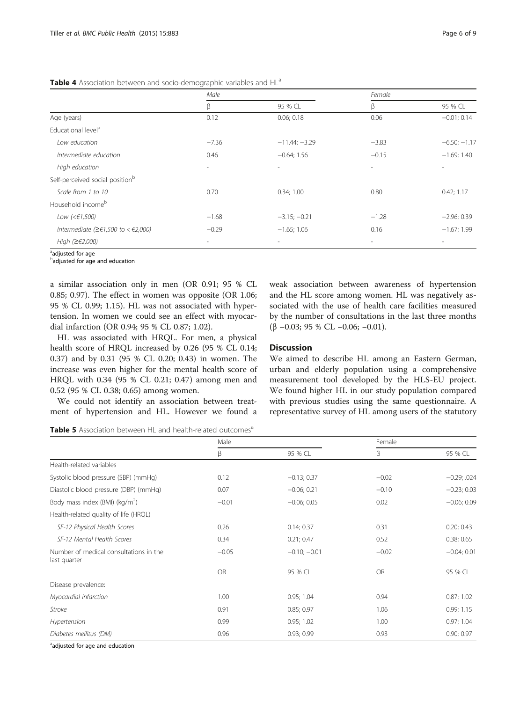<span id="page-5-0"></span>

|                                                    | Male                     |                          | Female                   |                |
|----------------------------------------------------|--------------------------|--------------------------|--------------------------|----------------|
|                                                    | β                        | 95 % CL                  | β                        | 95 % CL        |
| Age (years)                                        | 0.12                     | 0.06; 0.18               | 0.06                     | $-0.01; 0.14$  |
| Educational level <sup>a</sup>                     |                          |                          |                          |                |
| Low education                                      | $-7.36$                  | $-11.44; -3.29$          | $-3.83$                  | $-6.50; -1.17$ |
| Intermediate education                             | 0.46                     | $-0.64; 1.56$            | $-0.15$                  | $-1.69; 1.40$  |
| High education                                     | $\overline{\phantom{a}}$ | $\overline{\phantom{a}}$ | $\overline{\phantom{a}}$ |                |
| Self-perceived social position <sup>b</sup>        |                          |                          |                          |                |
| Scale from 1 to 10                                 | 0.70                     | 0.34; 1.00               | 0.80                     | 0.42; 1.17     |
| Household income <sup>b</sup>                      |                          |                          |                          |                |
| Low (< $€1,500$ )                                  | $-1.68$                  | $-3.15; -0.21$           | $-1.28$                  | $-2.96; 0.39$  |
| Intermediate ( $\geq \in 1,500$ to < $\in 2,000$ ) | $-0.29$                  | $-1.65; 1.06$            | 0.16                     | $-1.67; 1.99$  |
| High $(\geq \in 2,000)$                            | ٠                        |                          | $\overline{\phantom{a}}$ |                |

<sup>a</sup>adjusted for age

**b**adjusted for age and education

a similar association only in men (OR 0.91; 95 % CL 0.85; 0.97). The effect in women was opposite (OR 1.06; 95 % CL 0.99; 1.15). HL was not associated with hypertension. In women we could see an effect with myocardial infarction (OR 0.94; 95 % CL 0.87; 1.02).

HL was associated with HRQL. For men, a physical health score of HRQL increased by 0.26 (95 % CL 0.14; 0.37) and by 0.31 (95 % CL 0.20; 0.43) in women. The increase was even higher for the mental health score of HRQL with 0.34 (95 % CL 0.21; 0.47) among men and 0.52 (95 % CL 0.38; 0.65) among women.

We could not identify an association between treatment of hypertension and HL. However we found a weak association between awareness of hypertension and the HL score among women. HL was negatively associated with the use of health care facilities measured by the number of consultations in the last three months (β –0.03; 95 % CL −0.06; −0.01).

### Discussion

We aimed to describe HL among an Eastern German, urban and elderly population using a comprehensive measurement tool developed by the HLS-EU project. We found higher HL in our study population compared with previous studies using the same questionnaire. A representative survey of HL among users of the statutory

#### Table 5 Association between HL and health-related outcomes<sup>a</sup>

|                                                        | Male      |                | Female    |               |
|--------------------------------------------------------|-----------|----------------|-----------|---------------|
|                                                        | β         | 95 % CL        | β         | 95 % CL       |
| Health-related variables                               |           |                |           |               |
| Systolic blood pressure (SBP) (mmHq)                   | 0.12      | $-0.13; 0.37$  | $-0.02$   | $-0.29; .024$ |
| Diastolic blood pressure (DBP) (mmHg)                  | 0.07      | $-0.06; 0.21$  | $-0.10$   | $-0.23; 0.03$ |
| Body mass index (BMI) ( $kg/m2$ )                      | $-0.01$   | $-0.06; 0.05$  | 0.02      | $-0.06; 0.09$ |
| Health-related quality of life (HRQL)                  |           |                |           |               |
| SF-12 Physical Health Scores                           | 0.26      | 0.14; 0.37     | 0.31      | 0.20; 0.43    |
| SF-12 Mental Health Scores                             | 0.34      | 0.21; 0.47     | 0.52      | 0.38; 0.65    |
| Number of medical consultations in the<br>last quarter | $-0.05$   | $-0.10; -0.01$ | $-0.02$   | $-0.04; 0.01$ |
|                                                        | <b>OR</b> | 95 % CL        | <b>OR</b> | 95 % CL       |
| Disease prevalence:                                    |           |                |           |               |
| Myocardial infarction                                  | 1.00      | 0.95; 1.04     | 0.94      | 0.87; 1.02    |
| Stroke                                                 | 0.91      | 0.85; 0.97     | 1.06      | 0.99; 1.15    |
| Hypertension                                           | 0.99      | 0.95; 1.02     | 1.00      | 0.97; 1.04    |
| Diabetes mellitus (DM)                                 | 0.96      | 0.93; 0.99     | 0.93      | 0.90; 0.97    |

<sup>a</sup>adjusted for age and education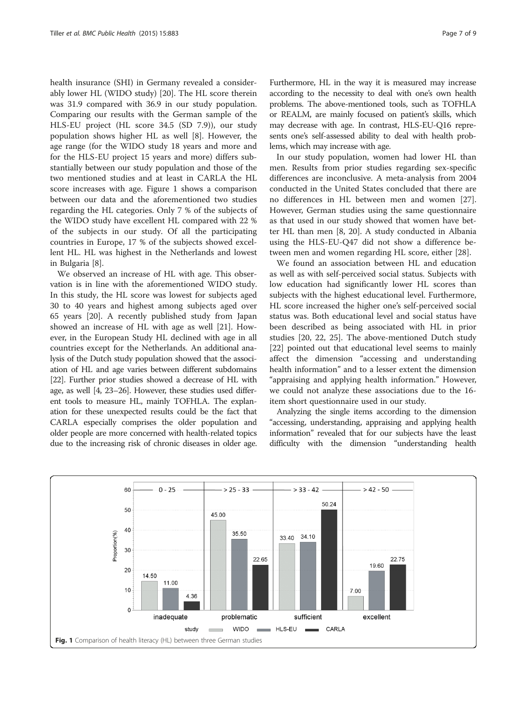health insurance (SHI) in Germany revealed a considerably lower HL (WIDO study) [[20](#page-8-0)]. The HL score therein was 31.9 compared with 36.9 in our study population. Comparing our results with the German sample of the HLS-EU project (HL score 34.5 (SD 7.9)), our study population shows higher HL as well [\[8](#page-8-0)]. However, the age range (for the WIDO study 18 years and more and for the HLS-EU project 15 years and more) differs substantially between our study population and those of the two mentioned studies and at least in CARLA the HL score increases with age. Figure 1 shows a comparison between our data and the aforementioned two studies regarding the HL categories. Only 7 % of the subjects of the WIDO study have excellent HL compared with 22 % of the subjects in our study. Of all the participating countries in Europe, 17 % of the subjects showed excellent HL. HL was highest in the Netherlands and lowest in Bulgaria [\[8](#page-8-0)].

We observed an increase of HL with age. This observation is in line with the aforementioned WIDO study. In this study, the HL score was lowest for subjects aged 30 to 40 years and highest among subjects aged over 65 years [[20\]](#page-8-0). A recently published study from Japan showed an increase of HL with age as well [\[21\]](#page-8-0). However, in the European Study HL declined with age in all countries except for the Netherlands. An additional analysis of the Dutch study population showed that the association of HL and age varies between different subdomains [[22](#page-8-0)]. Further prior studies showed a decrease of HL with age, as well [\[4](#page-8-0), [23](#page-8-0)–[26](#page-8-0)]. However, these studies used different tools to measure HL, mainly TOFHLA. The explanation for these unexpected results could be the fact that CARLA especially comprises the older population and older people are more concerned with health-related topics due to the increasing risk of chronic diseases in older age.

Furthermore, HL in the way it is measured may increase according to the necessity to deal with one's own health problems. The above-mentioned tools, such as TOFHLA or REALM, are mainly focused on patient's skills, which may decrease with age. In contrast, HLS-EU-Q16 represents one's self-assessed ability to deal with health problems, which may increase with age.

In our study population, women had lower HL than men. Results from prior studies regarding sex-specific differences are inconclusive. A meta-analysis from 2004 conducted in the United States concluded that there are no differences in HL between men and women [\[27](#page-8-0)]. However, German studies using the same questionnaire as that used in our study showed that women have better HL than men [\[8](#page-8-0), [20\]](#page-8-0). A study conducted in Albania using the HLS-EU-Q47 did not show a difference between men and women regarding HL score, either [[28](#page-8-0)].

We found an association between HL and education as well as with self-perceived social status. Subjects with low education had significantly lower HL scores than subjects with the highest educational level. Furthermore, HL score increased the higher one's self-perceived social status was. Both educational level and social status have been described as being associated with HL in prior studies [\[20](#page-8-0), [22](#page-8-0), [25](#page-8-0)]. The above-mentioned Dutch study [[22\]](#page-8-0) pointed out that educational level seems to mainly affect the dimension "accessing and understanding health information" and to a lesser extent the dimension "appraising and applying health information." However, we could not analyze these associations due to the 16 item short questionnaire used in our study.

Analyzing the single items according to the dimension "accessing, understanding, appraising and applying health information" revealed that for our subjects have the least difficulty with the dimension "understanding health

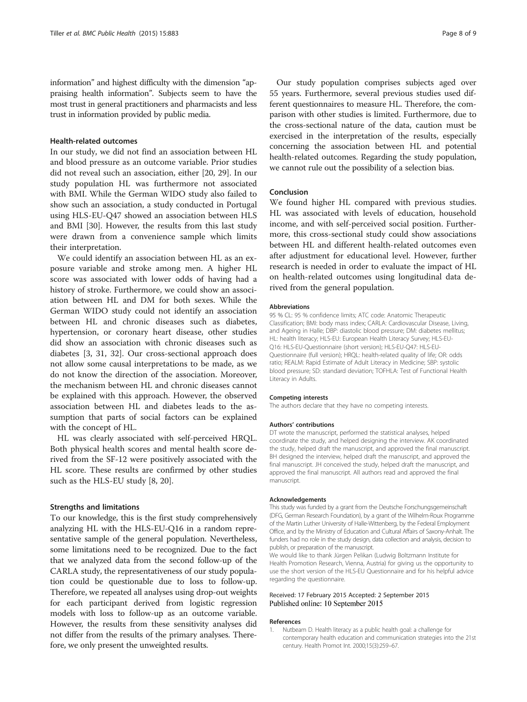<span id="page-7-0"></span>information" and highest difficulty with the dimension "appraising health information". Subjects seem to have the most trust in general practitioners and pharmacists and less trust in information provided by public media.

#### Health-related outcomes

In our study, we did not find an association between HL and blood pressure as an outcome variable. Prior studies did not reveal such an association, either [\[20](#page-8-0), [29](#page-8-0)]. In our study population HL was furthermore not associated with BMI. While the German WIDO study also failed to show such an association, a study conducted in Portugal using HLS-EU-Q47 showed an association between HLS and BMI [[30](#page-8-0)]. However, the results from this last study were drawn from a convenience sample which limits their interpretation.

We could identify an association between HL as an exposure variable and stroke among men. A higher HL score was associated with lower odds of having had a history of stroke. Furthermore, we could show an association between HL and DM for both sexes. While the German WIDO study could not identify an association between HL and chronic diseases such as diabetes, hypertension, or coronary heart disease, other studies did show an association with chronic diseases such as diabetes [\[3](#page-8-0), [31](#page-8-0), [32\]](#page-8-0). Our cross-sectional approach does not allow some causal interpretations to be made, as we do not know the direction of the association. Moreover, the mechanism between HL and chronic diseases cannot be explained with this approach. However, the observed association between HL and diabetes leads to the assumption that parts of social factors can be explained with the concept of HL.

HL was clearly associated with self-perceived HRQL. Both physical health scores and mental health score derived from the SF-12 were positively associated with the HL score. These results are confirmed by other studies such as the HLS-EU study [\[8, 20\]](#page-8-0).

#### Strengths and limitations

To our knowledge, this is the first study comprehensively analyzing HL with the HLS-EU-Q16 in a random representative sample of the general population. Nevertheless, some limitations need to be recognized. Due to the fact that we analyzed data from the second follow-up of the CARLA study, the representativeness of our study population could be questionable due to loss to follow-up. Therefore, we repeated all analyses using drop-out weights for each participant derived from logistic regression models with loss to follow-up as an outcome variable. However, the results from these sensitivity analyses did not differ from the results of the primary analyses. Therefore, we only present the unweighted results.

Our study population comprises subjects aged over 55 years. Furthermore, several previous studies used different questionnaires to measure HL. Therefore, the comparison with other studies is limited. Furthermore, due to the cross-sectional nature of the data, caution must be exercised in the interpretation of the results, especially concerning the association between HL and potential health-related outcomes. Regarding the study population, we cannot rule out the possibility of a selection bias.

#### Conclusion

We found higher HL compared with previous studies. HL was associated with levels of education, household income, and with self-perceived social position. Furthermore, this cross-sectional study could show associations between HL and different health-related outcomes even after adjustment for educational level. However, further research is needed in order to evaluate the impact of HL on health-related outcomes using longitudinal data derived from the general population.

#### Abbreviations

95 % CL: 95 % confidence limits; ATC code: Anatomic Therapeutic Classification; BMI: body mass index; CARLA: Cardiovascular Disease, Living, and Ageing in Halle; DBP: diastolic blood pressure; DM: diabetes mellitus; HL: health literacy; HLS-EU: European Health Literacy Survey; HLS-EU-Q16: HLS-EU-Questionnaire (short version); HLS-EU-Q47: HLS-EU-Questionnaire (full version); HRQL: health-related quality of life; OR: odds ratio; REALM: Rapid Estimate of Adult Literacy in Medicine; SBP: systolic blood pressure; SD: standard deviation; TOFHLA: Test of Functional Health Literacy in Adults.

#### Competing interests

The authors declare that they have no competing interests.

#### Authors' contributions

DT wrote the manuscript, performed the statistical analyses, helped coordinate the study, and helped designing the interview. AK coordinated the study, helped draft the manuscript, and approved the final manuscript. BH designed the interview, helped draft the manuscript, and approved the final manuscript. JH conceived the study, helped draft the manuscript, and approved the final manuscript. All authors read and approved the final manuscript.

#### Acknowledgements

This study was funded by a grant from the Deutsche Forschungsgemeinschaft (DFG, German Research Foundation), by a grant of the Wilhelm-Roux Programme of the Martin Luther University of Halle-Wittenberg, by the Federal Employment Office, and by the Ministry of Education and Cultural Affairs of Saxony-Anhalt. The funders had no role in the study design, data collection and analysis, decision to publish, or preparation of the manuscript.

We would like to thank Jürgen Pelikan (Ludwig Boltzmann Institute for Health Promotion Research, Vienna, Austria) for giving us the opportunity to use the short version of the HLS-EU Questionnaire and for his helpful advice regarding the questionnaire.

#### Received: 17 February 2015 Accepted: 2 September 2015 Published online: 10 September 2015

#### References

1. Nutbeam D. Health literacy as a public health goal: a challenge for contemporary health education and communication strategies into the 21st century. Health Promot Int. 2000;15(3):259–67.